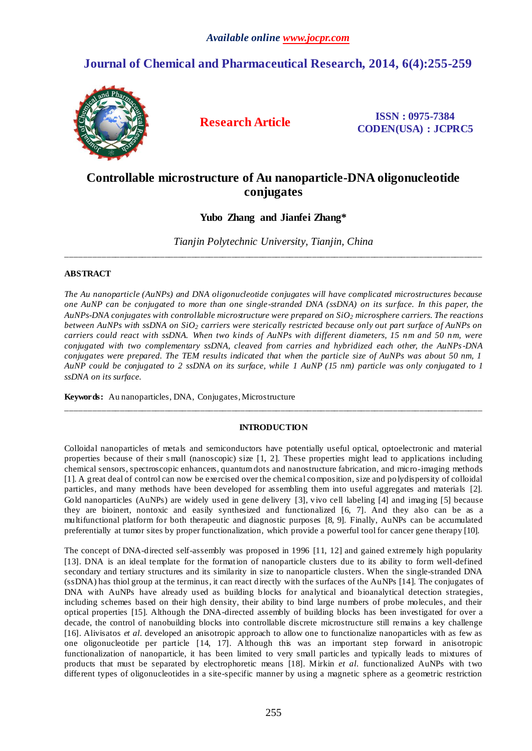# **Journal of Chemical and Pharmaceutical Research, 2014, 6(4):255-259**



**Research Article ISSN : 0975-7384 CODEN(USA) : JCPRC5**

## **Controllable microstructure of Au nanoparticle-DNA oligonucleotide conjugates**

**Yubo Zhang and Jianfei Zhang\***

*Tianjin Polytechnic University, Tianjin, China* \_\_\_\_\_\_\_\_\_\_\_\_\_\_\_\_\_\_\_\_\_\_\_\_\_\_\_\_\_\_\_\_\_\_\_\_\_\_\_\_\_\_\_\_\_\_\_\_\_\_\_\_\_\_\_\_\_\_\_\_\_\_\_\_\_\_\_\_\_\_\_\_\_\_\_\_\_\_\_\_\_\_\_\_\_\_\_\_\_\_\_\_\_

## **ABSTRACT**

*The Au nanoparticle (AuNPs) and DNA oligonucleotide conjugates will have complicated microstructures because one AuNP can be conjugated to more than one single-stranded DNA (ssDNA) on its surface. In this paper, the AuNPs-DNA conjugates with controllable microstructure were prepared on SiO<sup>2</sup> microsphere carriers. The reactions between AuNPs with ssDNA on SiO<sup>2</sup> carriers were sterically restricted because only out part surface of AuNPs on carriers could react with ssDNA. When two kinds of AuNPs with different diameters, 15 nm and 50 nm, were conjugated with two complementary ssDNA, cleaved from carries and hybridized each other, the AuNPs-DNA conjugates were prepared. The TEM results indicated that when the particle size of AuNPs was about 50 nm, 1 AuNP could be conjugated to 2 ssDNA on its surface, while 1 AuNP (15 nm) particle was only conjugated to 1 ssDNA on its surface.*

**Keywords:** Au nanoparticles, DNA, Conjugates, Microstructure

## **INTRODUCTION**

\_\_\_\_\_\_\_\_\_\_\_\_\_\_\_\_\_\_\_\_\_\_\_\_\_\_\_\_\_\_\_\_\_\_\_\_\_\_\_\_\_\_\_\_\_\_\_\_\_\_\_\_\_\_\_\_\_\_\_\_\_\_\_\_\_\_\_\_\_\_\_\_\_\_\_\_\_\_\_\_\_\_\_\_\_\_\_\_\_\_\_\_\_

Colloidal nanoparticles of metals and semiconductors have potentially useful optical, optoelectronic and material properties because of their s mall (nanoscopic) size [1, 2]. These properties might lead to applications including chemical sensors, spectroscopic enhancers, quantum dots and nanostructure fabrication, and micro-imaging methods [1]. A great deal of control can now be exercised over the chemical composition, size and po lydispersity of colloidal particles, and many methods have been developed for assembling them into useful aggregates and materials [2]. Gold nanoparticles (AuNPs) are widely used in gene delivery [3], vivo cell labeling [4] and imaging [5] because they are bioinert, nontoxic and easily synthesized and functionalized [6, 7]. And they also can be as a multifunctional platform for both therapeutic and diagnostic purposes [8, 9]. Finally, AuNPs can be accumulated preferentially at tumor sites by proper functionalization, which provide a powerful tool for cancer gene therapy [10].

The concept of DNA-directed self-assembly was proposed in 1996 [11, 12] and gained extremely high popularity [13]. DNA is an ideal template for the formation of nanoparticle clusters due to its ability to form well-defined secondary and tertiary structures and its similarity in size to nanoparticle clusters. When the single-stranded DNA (ssDNA) has thiol group at the terminus, it can react directly with the surfaces of the AuNPs [14]. The conjugates of DNA with AuNPs have already used as building blocks for analytical and bioanalytical detection strategies, including schemes based on their high density, their ability to bind large numbers of probe molecules, and their optical properties [15]. Although the DNA-directed assembly of building blocks has been investigated for over a decade, the control of nanobuilding blocks into controllable discrete microstructure still remains a key challenge [16]. Alivisatos *et al.* developed an anisotropic approach to allow one to functionalize nanoparticles with as few as one oligonucleotide per particle [14, 17]. Although this was an important step forward in anisotropic functionalization of nanoparticle, it has been limited to very small particles and typically leads to mixtures of products that must be separated by electrophoretic means [18]. Mirkin *et al.* functionalized AuNPs with two different types of oligonucleotides in a site-specific manner by using a magnetic sphere as a geometric restriction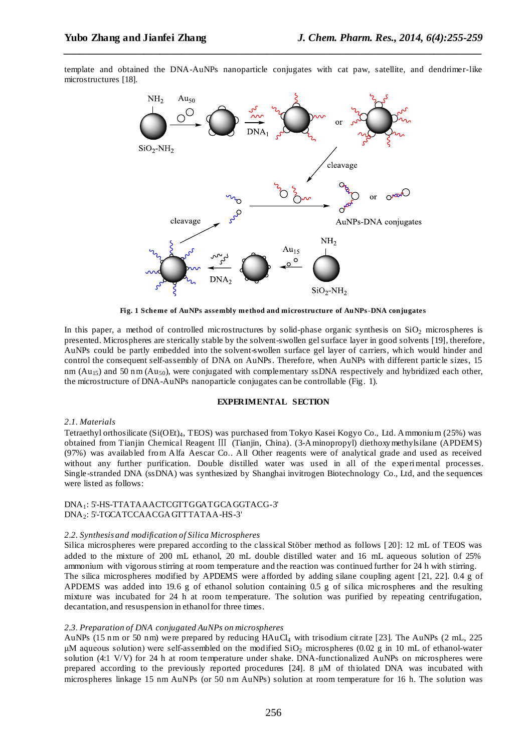template and obtained the DNA-AuNPs nanoparticle conjugates with cat paw, satellite, and dendrimer-like microstructures [18].

*\_\_\_\_\_\_\_\_\_\_\_\_\_\_\_\_\_\_\_\_\_\_\_\_\_\_\_\_\_\_\_\_\_\_\_\_\_\_\_\_\_\_\_\_\_\_\_\_\_\_\_\_\_\_\_\_\_\_\_\_\_\_\_\_\_\_\_\_\_\_\_\_\_\_\_\_\_\_*



**Fig. 1 Scheme of AuNPs assembly method and microstructure of AuNPs-DNA conjugates**

In this paper, a method of controlled microstructures by solid-phase organic synthesis on  $SiO<sub>2</sub>$  microspheres is presented. Microspheres are sterically stable by the solvent-swollen gel surface layer in good solvents [19], therefore, AuNPs could be partly embedded into the solvent-swollen surface gel layer of carriers, which would hinder and control the consequent self-assembly of DNA on AuNPs. Therefore, when AuNPs with different particle sizes, 15 nm ( $Au_{15}$ ) and 50 nm ( $Au_{50}$ ), were conjugated with complementary ssDNA respectively and hybridized each other, the microstructure of DNA-AuNPs nanoparticle conjugates can be controllable (Fig. 1).

#### **EXPERIMENTAL SECTION**

#### *2.1. Materials*

Tetraethyl orthosilicate (Si(OEt)4, TEOS) was purchased from Tokyo Kasei Kogyo Co., Ltd. Ammonium (25%) was obtained from Tianjin Chemical Reagent Ⅲ (Tianjin, China). (3-Aminopropyl) diethoxymethylsilane (APDEMS) (97%) was availabled from Alfa Aescar Co.. All Other reagents were of analytical grade and used as received without any further purification. Double distilled water was used in all of the experimental processes. Single-stranded DNA (ssDNA) was synthesized by Shanghai invitrogen Biotechnology Co., Ltd, and the sequences were listed as follows:

#### DNA1: 5'-HS-TTATAAACTCGTTGGATGCAGGTACG-3' DNA2: 5'-TGCATCCAACGAGTTTATAA-HS-3'

#### *2.2. Synthesis and modification of Silica Microspheres*

Silica microspheres were prepared according to the classical Stöber method as follows [ 20]: 12 mL of TEOS was added to the mixture of 200 mL ethanol, 20 mL double distilled water and 16 mL aqueous solution of 25% ammonium with vigorous stirring at room temperature and the reaction was continued further for 24 h with stirring. The silica microspheres modified by APDEMS were afforded by adding silane coupling agent [21, 22]. 0.4 g of APDEMS was added into 19.6 g of ethanol solution containing 0.5 g of silica microspheres and the resulting mixture was incubated for 24 h at room temperature. The solution was purified by repeating centrifugation, decantation, and resuspension in ethanol for three times.

#### *2.3. Preparation of DNA conjugated AuNPs on microspheres*

AuNPs (15 nm or 50 nm) were prepared by reducing HAuCl<sub>4</sub> with trisodium citrate [23]. The AuNPs (2 mL, 225) μM aqueous solution) were self-assembled on the modified  $SiO<sub>2</sub>$  microspheres (0.02 g in 10 mL of ethanol-water solution (4:1 V/V) for 24 h at room temperature under shake. DNA-functionalized AuNPs on microspheres were prepared according to the previously reported procedures [24]. 8 μM of thiolated DNA was incubated with microspheres linkage 15 nm AuNPs (or 50 nm AuNPs) solution at room temperature for 16 h. The solution was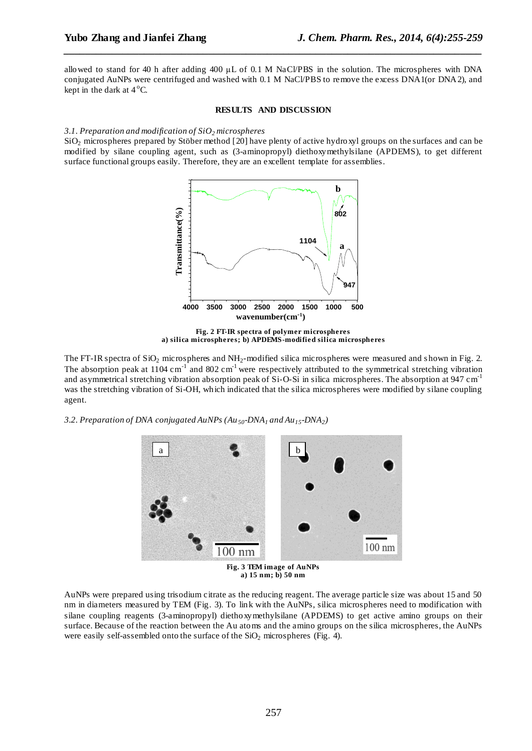allowed to stand for 40 h after adding 400 μL of 0.1 M NaCl/PBS in the solution. The microspheres with DNA conjugated AuNPs were centrifuged and washed with 0.1 M NaCl/PBS to remove the excess DNA1(or DNA2), and kept in the dark at  $4^{\circ}$ C.

*\_\_\_\_\_\_\_\_\_\_\_\_\_\_\_\_\_\_\_\_\_\_\_\_\_\_\_\_\_\_\_\_\_\_\_\_\_\_\_\_\_\_\_\_\_\_\_\_\_\_\_\_\_\_\_\_\_\_\_\_\_\_\_\_\_\_\_\_\_\_\_\_\_\_\_\_\_\_*

#### **RESULTS AND DISCUSSION**

#### *3.1. Preparation and modification of SiO<sup>2</sup> microspheres*

SiO<sup>2</sup> microspheres prepared by Stöber method [20] have plenty of active hydroxyl groups on the surfaces and can be modified by silane coupling agent, such as (3-aminopropyl) diethoxymethylsilane (APDEMS), to get different surface functional groups easily. Therefore, they are an excellent template for assemblies.



**Fig. 2 FT-IR spectra of polymer microspheres a) silica microspheres; b) APDEMS-modified silica microspheres**

The FT-IR spectra of  $SiO<sub>2</sub>$  microspheres and NH<sub>2</sub>-modified silica microspheres were measured and shown in Fig. 2. The absorption peak at  $1104 \text{ cm}^{-1}$  and  $802 \text{ cm}^{-1}$  were respectively attributed to the symmetrical stretching vibration and asymmetrical stretching vibration absorption peak of Si-O-Si in silica microspheres. The absorption at 947 cm<sup>-1</sup> was the stretching vibration of Si-OH, which indicated that the silica microspheres were modified by silane coupling agent.

*3.2. Preparation of DNA conjugated AuNPs (Au50-DNA<sup>1</sup> and Au15-DNA2)* 



**a) 15 nm; b) 50 nm**

AuNPs were prepared using trisodium citrate as the reducing reagent. The average particle size was about 15 and 50 nm in diameters measured by TEM (Fig. 3). To link with the AuNPs, silica microspheres need to modification with silane coupling reagents (3-aminopropyl) diethoxymethylsilane (APDEMS) to get active amino groups on their surface. Because of the reaction between the Au atoms and the amino groups on the silica microspheres, the AuNPs were easily self-assembled onto the surface of the  $SiO<sub>2</sub>$  microspheres (Fig. 4).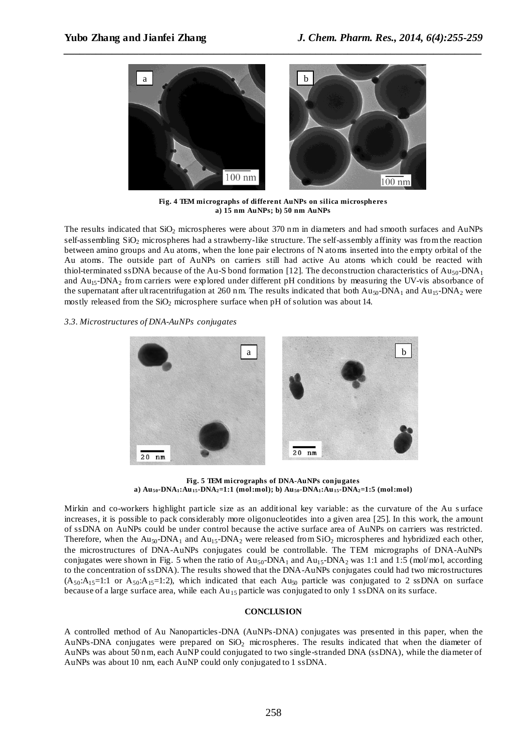

**Fig. 4 TEM micrographs of different AuNPs on silica microsphere s a) 15 nm AuNPs; b) 50 nm AuNPs**

The results indicated that SiO<sub>2</sub> microspheres were about 370 nm in diameters and had smooth surfaces and AuNPs self-assembling SiO<sub>2</sub> microspheres had a strawberry-like structure. The self-assembly affinity was from the reaction between amino groups and Au atoms, when the lone pair electrons of N atoms inserted into the empty orbital of the Au atoms. The outside part of AuNPs on carriers still had active Au atoms which could be reacted with thiol-terminated ssDNA because of the Au-S bond formation [12]. The deconstruction characteristics of Au<sub>50</sub>-DNA<sub>1</sub> and Au15-DNA<sup>2</sup> from carriers were explored under different pH conditions by measuring the UV-vis absorbance of the supernatant after ultracentrifugation at 260 nm. The results indicated that both  $Au_{50}$ -DNA<sub>1</sub> and  $Au_{15}$ -DNA<sub>2</sub> were mostly released from the  $SiO<sub>2</sub>$  microsphere surface when pH of solution was about 14.

#### *3.3. Microstructures of DNA-AuNPs conjugates*



**Fig. 5 TEM micrographs of DNA-AuNPs conjugates a) Au50-DNA1:Au15-DNA2=1:1 (mol:mol); b) Au50-DNA1:Au15-DNA2=1:5 (mol:mol)**

Mirkin and co-workers highlight particle size as an additional key variable: as the curvature of the Au s urface increases, it is possible to pack considerably more oligonucleotides into a given area [25]. In this work, the amount of ssDNA on AuNPs could be under control because the active surface area of AuNPs on carriers was restricted. Therefore, when the  $Au_{50}$ -DNA<sub>1</sub> and  $Au_{15}$ -DNA<sub>2</sub> were released from SiO<sub>2</sub> microspheres and hybridized each other, the microstructures of DNA-AuNPs conjugates could be controllable. The TEM micrographs of DNA-AuNPs conjugates were shown in Fig. 5 when the ratio of  $Au_{50}$ -DNA<sub>1</sub> and  $Au_{15}$ -DNA<sub>2</sub> was 1:1 and 1:5 (mol/mol, according to the concentration of ssDNA). The results showed that the DNA-AuNPs conjugates could had two microstructures  $(A_{50}:A_{15}=1:1$  or  $A_{50}:A_{15}=1:2$ ), which indicated that each  $Au_{50}$  particle was conjugated to 2 ssDNA on surface because of a large surface area, while each  $Au_{15}$  particle was conjugated to only 1 ssDNA on its surface.

#### **CONCLUSION**

A controlled method of Au Nanoparticles-DNA (AuNPs-DNA) conjugates was presented in this paper, when the AuNPs-DNA conjugates were prepared on SiO<sup>2</sup> microspheres. The results indicated that when the diameter of AuNPs was about 50 nm, each AuNP could conjugated to two single-stranded DNA (ssDNA), while the diameter of AuNPs was about 10 nm, each AuNP could only conjugated to 1 ssDNA.